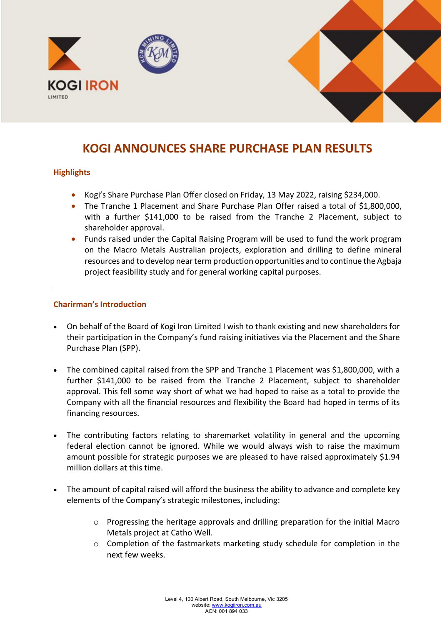

# **KOGI ANNOUNCES SHARE PURCHASE PLAN RESULTS**

## **Highlights**

- Kogi's Share Purchase Plan Offer closed on Friday, 13 May 2022, raising \$234,000.
- The Tranche 1 Placement and Share Purchase Plan Offer raised a total of \$1,800,000, with a further \$141,000 to be raised from the Tranche 2 Placement, subject to shareholder approval.
- Funds raised under the Capital Raising Program will be used to fund the work program on the Macro Metals Australian projects, exploration and drilling to define mineral resources and to develop near term production opportunities and to continue the Agbaja project feasibility study and for general working capital purposes.

### **Charirman's Introduction**

- On behalf of the Board of Kogi Iron Limited I wish to thank existing and new shareholders for their participation in the Company's fund raising initiatives via the Placement and the Share Purchase Plan (SPP).
- The combined capital raised from the SPP and Tranche 1 Placement was \$1,800,000, with a further \$141,000 to be raised from the Tranche 2 Placement, subject to shareholder approval. This fell some way short of what we had hoped to raise as a total to provide the Company with all the financial resources and flexibility the Board had hoped in terms of its financing resources.
- The contributing factors relating to sharemarket volatility in general and the upcoming federal election cannot be ignored. While we would always wish to raise the maximum amount possible for strategic purposes we are pleased to have raised approximately \$1.94 million dollars at this time.
- The amount of capital raised will afford the business the ability to advance and complete key elements of the Company's strategic milestones, including:
	- $\circ$  Progressing the heritage approvals and drilling preparation for the initial Macro Metals project at Catho Well.
	- o Completion of the fastmarkets marketing study schedule for completion in the next few weeks.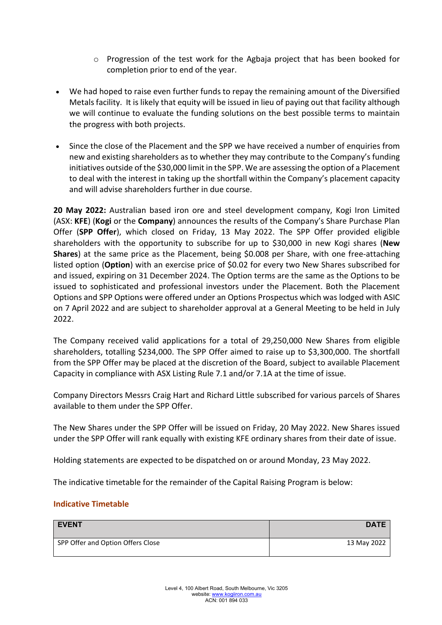- o Progression of the test work for the Agbaja project that has been booked for completion prior to end of the year.
- We had hoped to raise even further funds to repay the remaining amount of the Diversified Metals facility. It is likely that equity will be issued in lieu of paying out that facility although we will continue to evaluate the funding solutions on the best possible terms to maintain the progress with both projects.
- Since the close of the Placement and the SPP we have received a number of enquiries from new and existing shareholders as to whether they may contribute to the Company's funding initiatives outside of the \$30,000 limit in the SPP. We are assessing the option of a Placement to deal with the interest in taking up the shortfall within the Company's placement capacity and will advise shareholders further in due course.

**20 May 2022:** Australian based iron ore and steel development company, Kogi Iron Limited (ASX: **KFE**) (**Kogi** or the **Company**) announces the results of the Company's Share Purchase Plan Offer (**SPP Offer**), which closed on Friday, 13 May 2022. The SPP Offer provided eligible shareholders with the opportunity to subscribe for up to \$30,000 in new Kogi shares (**New Shares**) at the same price as the Placement, being \$0.008 per Share, with one free-attaching listed option (**Option**) with an exercise price of \$0.02 for every two New Shares subscribed for and issued, expiring on 31 December 2024. The Option terms are the same as the Options to be issued to sophisticated and professional investors under the Placement. Both the Placement Options and SPP Options were offered under an Options Prospectus which was lodged with ASIC on 7 April 2022 and are subject to shareholder approval at a General Meeting to be held in July 2022.

The Company received valid applications for a total of 29,250,000 New Shares from eligible shareholders, totalling \$234,000. The SPP Offer aimed to raise up to \$3,300,000. The shortfall from the SPP Offer may be placed at the discretion of the Board, subject to available Placement Capacity in compliance with ASX Listing Rule 7.1 and/or 7.1A at the time of issue.

Company Directors Messrs Craig Hart and Richard Little subscribed for various parcels of Shares available to them under the SPP Offer.

The New Shares under the SPP Offer will be issued on Friday, 20 May 2022. New Shares issued under the SPP Offer will rank equally with existing KFE ordinary shares from their date of issue.

Holding statements are expected to be dispatched on or around Monday, 23 May 2022.

The indicative timetable for the remainder of the Capital Raising Program is below:

### **Indicative Timetable**

| <b>EVENT</b>                      | <b>DATE</b> |
|-----------------------------------|-------------|
| SPP Offer and Option Offers Close | 13 May 2022 |